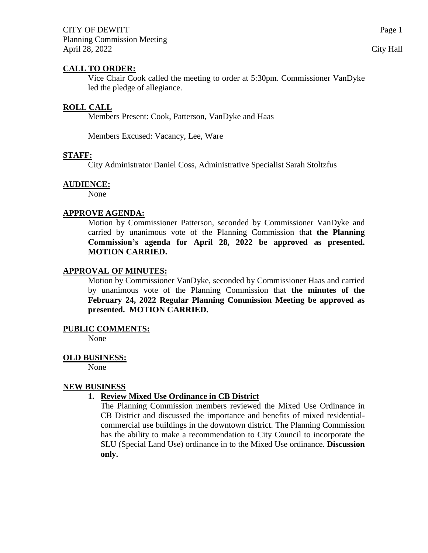## **CALL TO ORDER:**

Vice Chair Cook called the meeting to order at 5:30pm. Commissioner VanDyke led the pledge of allegiance.

## **ROLL CALL**

Members Present: Cook, Patterson, VanDyke and Haas

Members Excused: Vacancy, Lee, Ware

## **STAFF:**

City Administrator Daniel Coss, Administrative Specialist Sarah Stoltzfus

## **AUDIENCE:**

None

# **APPROVE AGENDA:**

Motion by Commissioner Patterson, seconded by Commissioner VanDyke and carried by unanimous vote of the Planning Commission that **the Planning Commission's agenda for April 28, 2022 be approved as presented. MOTION CARRIED.**

## **APPROVAL OF MINUTES:**

Motion by Commissioner VanDyke, seconded by Commissioner Haas and carried by unanimous vote of the Planning Commission that **the minutes of the February 24, 2022 Regular Planning Commission Meeting be approved as presented. MOTION CARRIED.**

#### **PUBLIC COMMENTS:**

None

#### **OLD BUSINESS:**

None

#### **NEW BUSINESS**

## **1. Review Mixed Use Ordinance in CB District**

The Planning Commission members reviewed the Mixed Use Ordinance in CB District and discussed the importance and benefits of mixed residentialcommercial use buildings in the downtown district. The Planning Commission has the ability to make a recommendation to City Council to incorporate the SLU (Special Land Use) ordinance in to the Mixed Use ordinance. **Discussion only.**